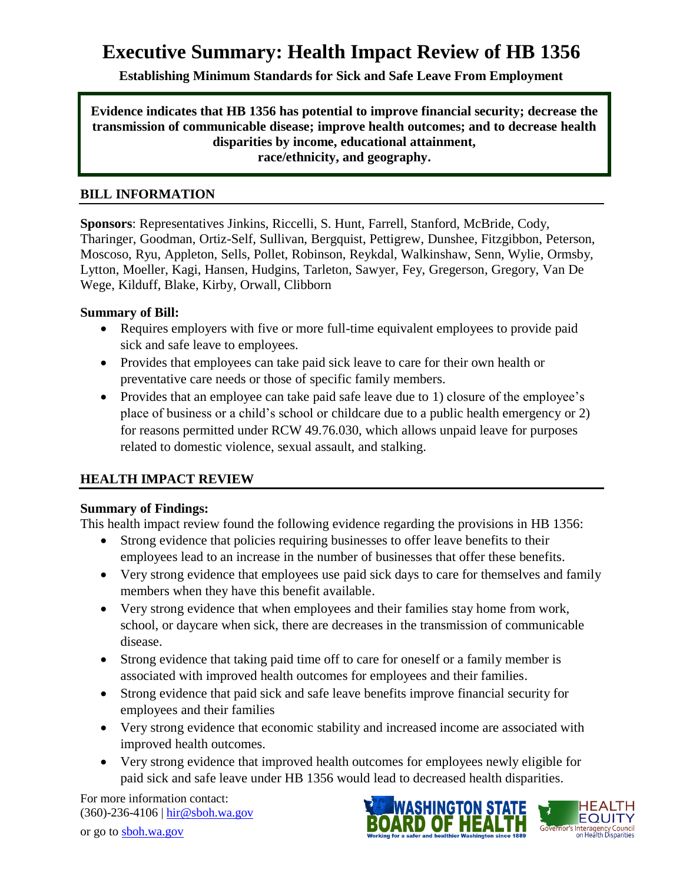# **Executive Summary: Health Impact Review of HB 1356**

**Establishing Minimum Standards for Sick and Safe Leave From Employment**

**Evidence indicates that HB 1356 has potential to improve financial security; decrease the transmission of communicable disease; improve health outcomes; and to decrease health disparities by income, educational attainment, race/ethnicity, and geography.**

#### **BILL INFORMATION**

**Sponsors**: Representatives [Jinkins,](http://www.leg.wa.gov/house/representatives/pages/default.aspx#jinkins) [Riccelli,](http://www.leg.wa.gov/house/representatives/pages/default.aspx#riccelli) [S. Hunt,](http://www.leg.wa.gov/house/representatives/pages/default.aspx#hunts) [Farrell,](http://www.leg.wa.gov/house/representatives/pages/default.aspx#farrell) [Stanford,](http://www.leg.wa.gov/house/representatives/pages/default.aspx#stanford) [McBride,](http://www.leg.wa.gov/house/representatives/pages/default.aspx#mcbride) [Cody,](http://www.leg.wa.gov/house/representatives/pages/default.aspx#cody) [Tharinger,](http://www.leg.wa.gov/house/representatives/pages/default.aspx#tharinger) [Goodman,](http://www.leg.wa.gov/house/representatives/pages/default.aspx#goodman) [Ortiz-Self,](http://www.leg.wa.gov/house/representatives/pages/default.aspx#ortiz-self) [Sullivan,](http://www.leg.wa.gov/house/representatives/pages/default.aspx#sullivan) [Bergquist,](http://www.leg.wa.gov/house/representatives/pages/default.aspx#bergquist) [Pettigrew,](http://www.leg.wa.gov/house/representatives/pages/default.aspx#pettigrew) [Dunshee,](http://www.leg.wa.gov/house/representatives/pages/default.aspx#dunshee) [Fitzgibbon,](http://www.leg.wa.gov/house/representatives/pages/default.aspx#fitzgibbon) [Peterson,](http://www.leg.wa.gov/house/representatives/pages/default.aspx#peterson) [Moscoso,](http://www.leg.wa.gov/house/representatives/pages/default.aspx#moscoso) [Ryu,](http://www.leg.wa.gov/house/representatives/pages/default.aspx#ryu) [Appleton,](http://www.leg.wa.gov/house/representatives/pages/default.aspx#appleton) [Sells,](http://www.leg.wa.gov/house/representatives/pages/default.aspx#sells) [Pollet,](http://www.leg.wa.gov/house/representatives/pages/default.aspx#pollet) [Robinson,](http://www.leg.wa.gov/house/representatives/pages/default.aspx#robinson) [Reykdal,](http://www.leg.wa.gov/house/representatives/pages/default.aspx#reykdal) [Walkinshaw,](http://www.leg.wa.gov/house/representatives/pages/default.aspx#walkinshaw) [Senn,](http://www.leg.wa.gov/house/representatives/pages/default.aspx#senn) [Wylie,](http://www.leg.wa.gov/house/representatives/pages/default.aspx#wylie) [Ormsby,](http://www.leg.wa.gov/house/representatives/pages/default.aspx#ormsby) [Lytton,](http://www.leg.wa.gov/house/representatives/pages/default.aspx#lytton) [Moeller,](http://www.leg.wa.gov/house/representatives/pages/default.aspx#moeller) [Kagi,](http://www.leg.wa.gov/house/representatives/pages/default.aspx#kagi) [Hansen,](http://www.leg.wa.gov/house/representatives/pages/default.aspx#hansen) [Hudgins,](http://www.leg.wa.gov/house/representatives/pages/default.aspx#hudgins) [Tarleton,](http://www.leg.wa.gov/house/representatives/pages/default.aspx#tarleton) [Sawyer,](http://www.leg.wa.gov/house/representatives/pages/default.aspx#sawyer) [Fey,](http://www.leg.wa.gov/house/representatives/pages/default.aspx#fey) [Gregerson,](http://www.leg.wa.gov/house/representatives/pages/default.aspx#gregerson) [Gregory,](http://www.leg.wa.gov/house/representatives/pages/default.aspx#gregory) [Van De](http://www.leg.wa.gov/house/representatives/pages/default.aspx#vandewege)  [Wege,](http://www.leg.wa.gov/house/representatives/pages/default.aspx#vandewege) [Kilduff,](http://www.leg.wa.gov/house/representatives/pages/default.aspx#kilduff) [Blake,](http://www.leg.wa.gov/house/representatives/pages/default.aspx#blake) [Kirby,](http://www.leg.wa.gov/house/representatives/pages/default.aspx#kirby) [Orwall,](http://www.leg.wa.gov/house/representatives/pages/default.aspx#orwall) [Clibborn](http://www.leg.wa.gov/house/representatives/pages/default.aspx#clibborn)

# **Summary of Bill:**

- Requires employers with five or more full-time equivalent employees to provide paid sick and safe leave to employees.
- Provides that employees can take paid sick leave to care for their own health or preventative care needs or those of specific family members.
- Provides that an employee can take paid safe leave due to 1) closure of the employee's place of business or a child's school or childcare due to a public health emergency or 2) for reasons permitted under RCW 49.76.030, which allows unpaid leave for purposes related to domestic violence, sexual assault, and stalking.

# **HEALTH IMPACT REVIEW**

#### **Summary of Findings:**

This health impact review found the following evidence regarding the provisions in HB 1356:

- Strong evidence that policies requiring businesses to offer leave benefits to their employees lead to an increase in the number of businesses that offer these benefits.
- Very strong evidence that employees use paid sick days to care for themselves and family members when they have this benefit available.
- Very strong evidence that when employees and their families stay home from work, school, or daycare when sick, there are decreases in the transmission of communicable disease.
- Strong evidence that taking paid time off to care for oneself or a family member is associated with improved health outcomes for employees and their families.
- Strong evidence that paid sick and safe leave benefits improve financial security for employees and their families
- Very strong evidence that economic stability and increased income are associated with improved health outcomes.
- Very strong evidence that improved health outcomes for employees newly eligible for paid sick and safe leave under HB 1356 would lead to decreased health disparities.

For more information contact: (360)-236-4106 | [hir@sboh.wa.gov](mailto:hir@sboh.wa.gov)



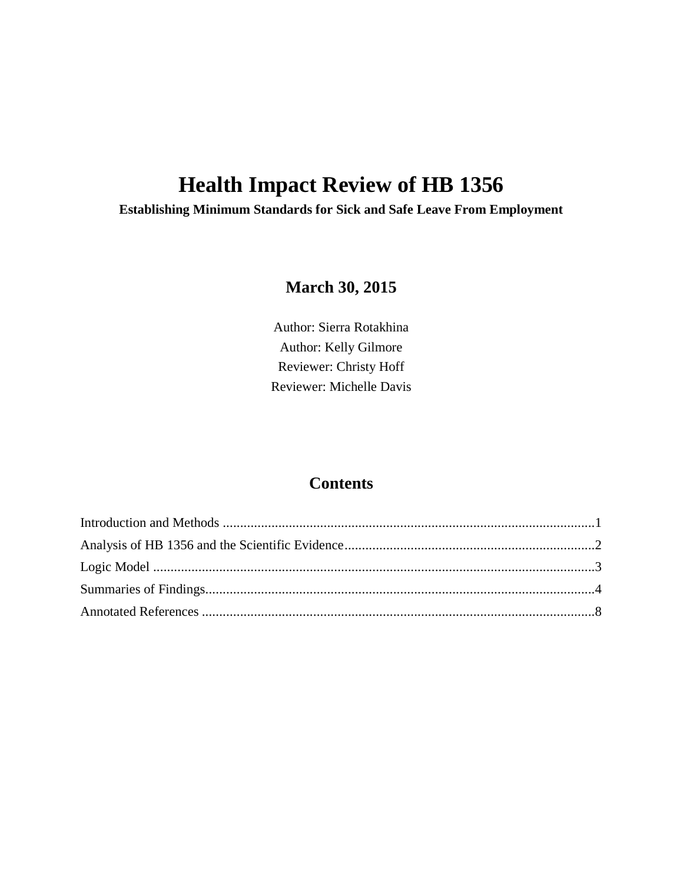# **Health Impact Review of HB 1356**

**Establishing Minimum Standards for Sick and Safe Leave From Employment**

# **March 30, 2015**

Author: Sierra Rotakhina Author: Kelly Gilmore Reviewer: Christy Hoff Reviewer: Michelle Davis

# **Contents**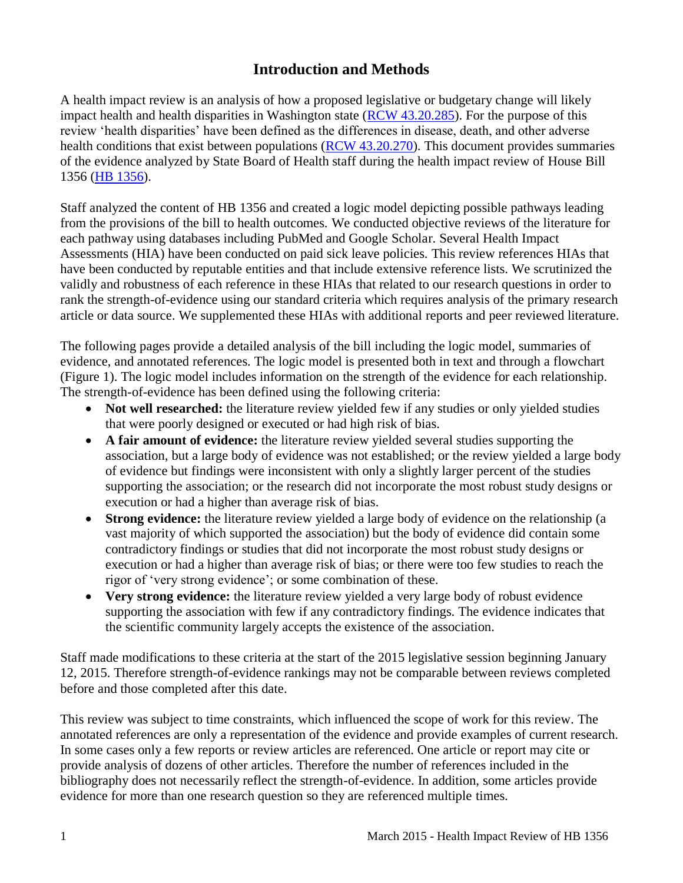# **Introduction and Methods**

<span id="page-2-0"></span>A health impact review is an analysis of how a proposed legislative or budgetary change will likely impact health and health disparities in Washington state [\(RCW 43.20.285\)](http://apps.leg.wa.gov/rcw/default.aspx?cite=43.20.285). For the purpose of this review 'health disparities' have been defined as the differences in disease, death, and other adverse health conditions that exist between populations [\(RCW 43.20.270\)](http://apps.leg.wa.gov/rcw/default.aspx?cite=43.20.270). This document provides summaries of the evidence analyzed by State Board of Health staff during the health impact review of House Bill 1356 [\(HB 1356\)](http://lawfilesext.leg.wa.gov/biennium/2015-16/Pdf/Bills/House%20Bills/1356.pdf).

Staff analyzed the content of HB 1356 and created a logic model depicting possible pathways leading from the provisions of the bill to health outcomes. We conducted objective reviews of the literature for each pathway using databases including PubMed and Google Scholar. Several Health Impact Assessments (HIA) have been conducted on paid sick leave policies. This review references HIAs that have been conducted by reputable entities and that include extensive reference lists. We scrutinized the validly and robustness of each reference in these HIAs that related to our research questions in order to rank the strength-of-evidence using our standard criteria which requires analysis of the primary research article or data source. We supplemented these HIAs with additional reports and peer reviewed literature.

The following pages provide a detailed analysis of the bill including the logic model, summaries of evidence, and annotated references. The logic model is presented both in text and through a flowchart (Figure 1). The logic model includes information on the strength of the evidence for each relationship. The strength-of-evidence has been defined using the following criteria:

- Not well researched: the literature review yielded few if any studies or only yielded studies that were poorly designed or executed or had high risk of bias.
- **A fair amount of evidence:** the literature review yielded several studies supporting the association, but a large body of evidence was not established; or the review yielded a large body of evidence but findings were inconsistent with only a slightly larger percent of the studies supporting the association; or the research did not incorporate the most robust study designs or execution or had a higher than average risk of bias.
- **Strong evidence:** the literature review yielded a large body of evidence on the relationship (a vast majority of which supported the association) but the body of evidence did contain some contradictory findings or studies that did not incorporate the most robust study designs or execution or had a higher than average risk of bias; or there were too few studies to reach the rigor of 'very strong evidence'; or some combination of these.
- **Very strong evidence:** the literature review yielded a very large body of robust evidence supporting the association with few if any contradictory findings. The evidence indicates that the scientific community largely accepts the existence of the association.

Staff made modifications to these criteria at the start of the 2015 legislative session beginning January 12, 2015. Therefore strength-of-evidence rankings may not be comparable between reviews completed before and those completed after this date.

This review was subject to time constraints, which influenced the scope of work for this review. The annotated references are only a representation of the evidence and provide examples of current research. In some cases only a few reports or review articles are referenced. One article or report may cite or provide analysis of dozens of other articles. Therefore the number of references included in the bibliography does not necessarily reflect the strength-of-evidence. In addition, some articles provide evidence for more than one research question so they are referenced multiple times.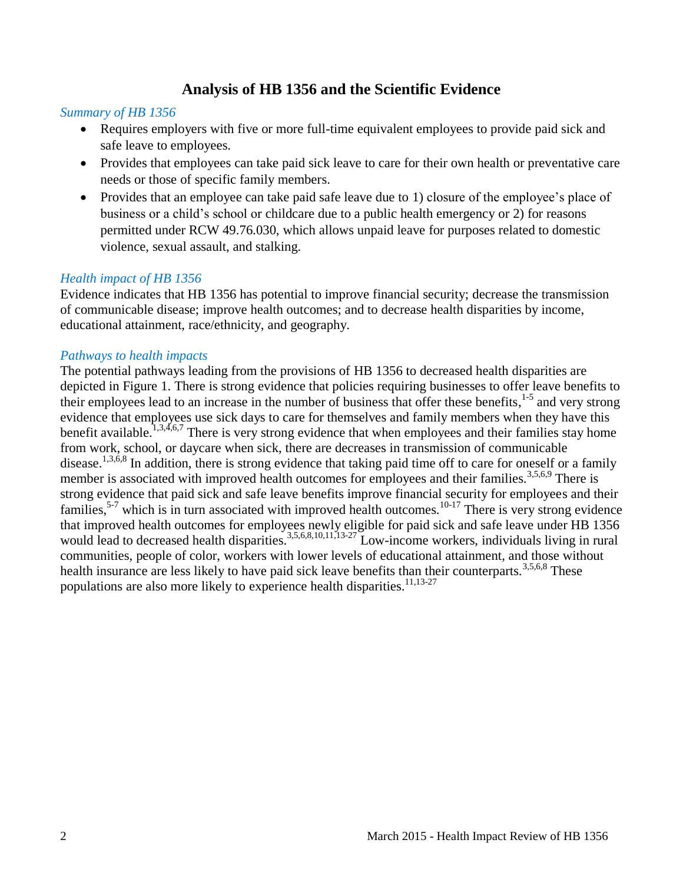# **Analysis of HB 1356 and the Scientific Evidence**

#### <span id="page-3-0"></span>*Summary of HB 1356*

- Requires employers with five or more full-time equivalent employees to provide paid sick and safe leave to employees.
- Provides that employees can take paid sick leave to care for their own health or preventative care needs or those of specific family members.
- Provides that an employee can take paid safe leave due to 1) closure of the employee's place of business or a child's school or childcare due to a public health emergency or 2) for reasons permitted under RCW 49.76.030, which allows unpaid leave for purposes related to domestic violence, sexual assault, and stalking.

#### *Health impact of HB 1356*

Evidence indicates that HB 1356 has potential to improve financial security; decrease the transmission of communicable disease; improve health outcomes; and to decrease health disparities by income, educational attainment, race/ethnicity, and geography.

#### *Pathways to health impacts*

The potential pathways leading from the provisions of HB 1356 to decreased health disparities are depicted in Figure 1. There is strong evidence that policies requiring businesses to offer leave benefits to their employees lead to an increase in the number of business that offer these benefits,<sup>[1-5](#page-9-1)</sup> and very strong evidence that employees use sick days to care for themselves and family members when they have this benefit available.  $^{1,3,4,6,7}$  $^{1,3,4,6,7}$  $^{1,3,4,6,7}$  $^{1,3,4,6,7}$  $^{1,3,4,6,7}$  $^{1,3,4,6,7}$  $^{1,3,4,6,7}$  There is very strong evidence that when employees and their families stay home from work, school, or daycare when sick, there are decreases in transmission of communicable disease.<sup>[1,](#page-9-1)[3,](#page-10-0)[6,](#page-13-0)[8](#page-15-0)</sup> In addition, there is strong evidence that taking paid time off to care for oneself or a family member is associated with improved health outcomes for employees and their families.<sup>[3,](#page-10-0)[5,](#page-12-0)[6,](#page-13-0)[9](#page-15-1)</sup> There is strong evidence that paid sick and safe leave benefits improve financial security for employees and their families,<sup>[5-7](#page-12-0)</sup> which is in turn associated with improved health outcomes.<sup>[10-17](#page-16-0)</sup> There is very strong evidence that improved health outcomes for employees newly eligible for paid sick and safe leave under HB 1356 would lead to decreased health disparities.<sup>[3,](#page-10-0)[5,](#page-12-0)[6,](#page-13-0)[8,](#page-15-0)[10,](#page-16-0)[11,](#page-16-1)[13-27](#page-17-0)</sup> Low-income workers, individuals living in rural communities, people of color, workers with lower levels of educational attainment, and those without health insurance are less likely to have paid sick leave benefits than their counterparts.<sup>[3,](#page-10-0)[5,](#page-12-0)[6,](#page-13-0)[8](#page-15-0)</sup> These populations are also more likely to experience health disparities.<sup>[11](#page-16-1)[,13-27](#page-17-0)</sup>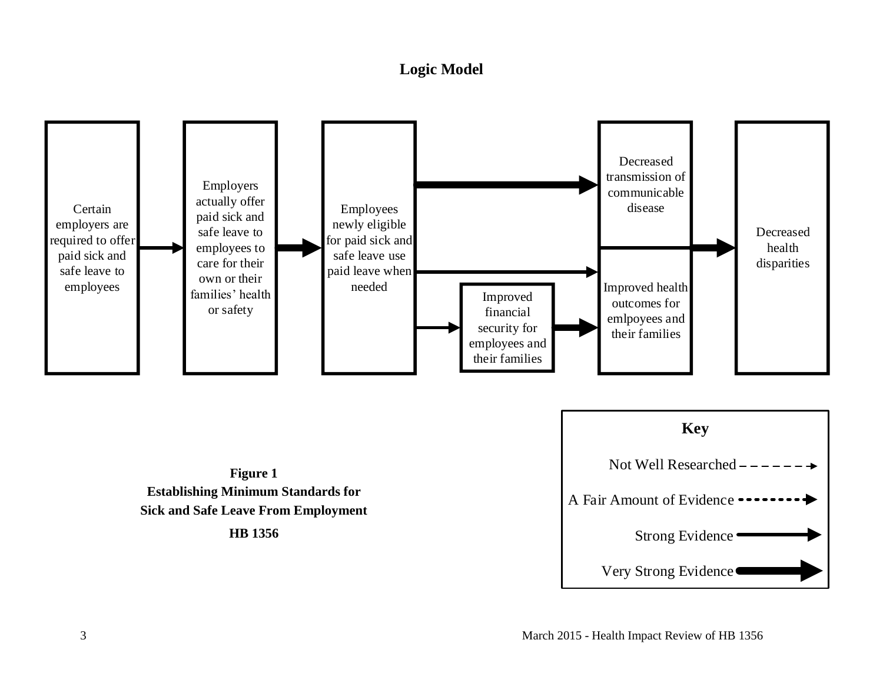# **Logic Model**

<span id="page-4-0"></span>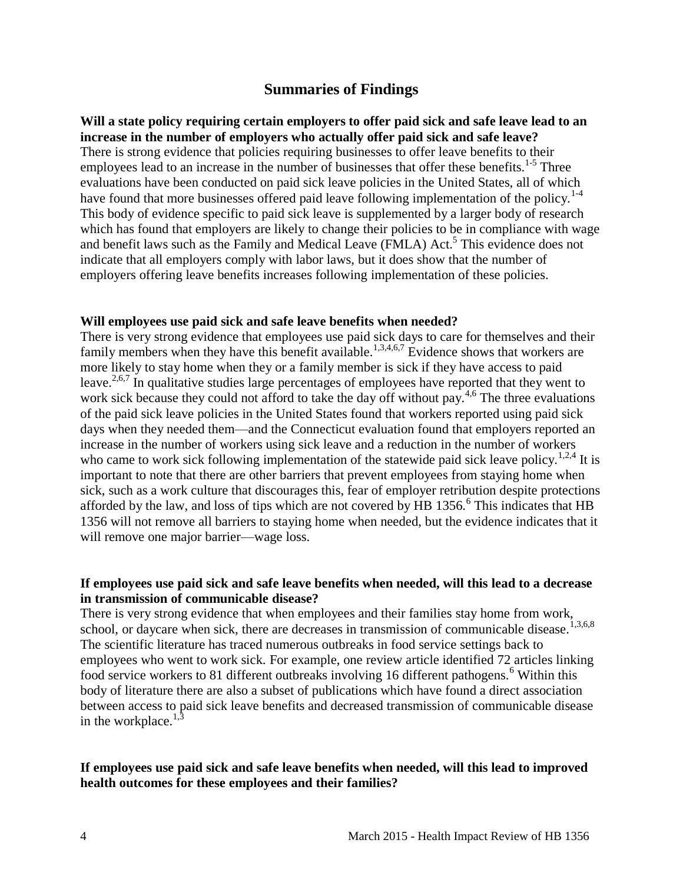#### **Summaries of Findings**

<span id="page-5-0"></span>**Will a state policy requiring certain employers to offer paid sick and safe leave lead to an increase in the number of employers who actually offer paid sick and safe leave?** There is strong evidence that policies requiring businesses to offer leave benefits to their employees lead to an increase in the number of businesses that offer these benefits.<sup>[1-5](#page-9-1)</sup> Three evaluations have been conducted on paid sick leave policies in the United States, all of which have found that more businesses offered paid leave following implementation of the policy.<sup>[1-4](#page-9-1)</sup> This body of evidence specific to paid sick leave is supplemented by a larger body of research which has found that employers are likely to change their policies to be in compliance with wage and benefit laws such as the Family and Medical Leave (FMLA) Act.<sup>[5](#page-12-0)</sup> This evidence does not indicate that all employers comply with labor laws, but it does show that the number of employers offering leave benefits increases following implementation of these policies.

#### **Will employees use paid sick and safe leave benefits when needed?**

There is very strong evidence that employees use paid sick days to care for themselves and their family members when they have this benefit available.<sup>[1,](#page-9-1)[3,](#page-10-0)[4,](#page-11-0)[6,](#page-13-0)[7](#page-14-0)</sup> Evidence shows that workers are more likely to stay home when they or a family member is sick if they have access to paid leave.<sup>[2,](#page-9-2)[6,](#page-13-0)[7](#page-14-0)</sup> In qualitative studies large percentages of employees have reported that they went to work sick because they could not afford to take the day off without pay.<sup>[4](#page-11-0)[,6](#page-13-0)</sup> The three evaluations of the paid sick leave policies in the United States found that workers reported using paid sick days when they needed them—and the Connecticut evaluation found that employers reported an increase in the number of workers using sick leave and a reduction in the number of workers who came to work sick following implementation of the statewide paid sick leave policy.<sup>[1,](#page-9-1)[2,](#page-9-2)[4](#page-11-0)</sup> It is important to note that there are other barriers that prevent employees from staying home when sick, such as a work culture that discourages this, fear of employer retribution despite protections afforded by the law, and loss of tips which are not covered by HB  $1356$  $1356$ .<sup>6</sup> This indicates that HB 1356 will not remove all barriers to staying home when needed, but the evidence indicates that it will remove one major barrier—wage loss.

#### **If employees use paid sick and safe leave benefits when needed, will this lead to a decrease in transmission of communicable disease?**

There is very strong evidence that when employees and their families stay home from work, school, or daycare when sick, there are decreases in transmission of communicable disease.<sup>[1](#page-9-1)[,3](#page-10-0)[,6](#page-13-0)[,8](#page-15-0)</sup> The scientific literature has traced numerous outbreaks in food service settings back to employees who went to work sick. For example, one review article identified 72 articles linking food service workers to 81 different outbreaks involving 1[6](#page-13-0) different pathogens.<sup>6</sup> Within this body of literature there are also a subset of publications which have found a direct association between access to paid sick leave benefits and decreased transmission of communicable disease in the workplace.<sup>[1](#page-9-1)[,3](#page-10-0)</sup>

#### **If employees use paid sick and safe leave benefits when needed, will this lead to improved health outcomes for these employees and their families?**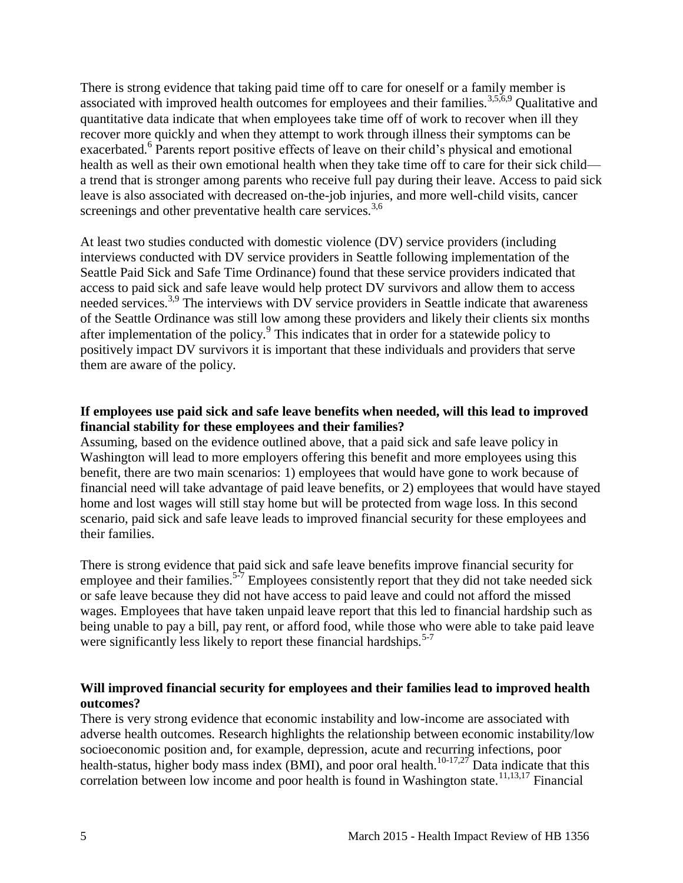There is strong evidence that taking paid time off to care for oneself or a family member is associated with improved health outcomes for employees and their families.<sup>[3](#page-10-0)[,5](#page-12-0)[,6](#page-13-0)[,9](#page-15-1)</sup> Qualitative and quantitative data indicate that when employees take time off of work to recover when ill they recover more quickly and when they attempt to work through illness their symptoms can be exacerbated.<sup>[6](#page-13-0)</sup> Parents report positive effects of leave on their child's physical and emotional health as well as their own emotional health when they take time off to care for their sick child a trend that is stronger among parents who receive full pay during their leave. Access to paid sick leave is also associated with decreased on-the-job injuries, and more well-child visits, cancer screenings and other preventative health care services.<sup>[3](#page-10-0)[,6](#page-13-0)</sup>

At least two studies conducted with domestic violence (DV) service providers (including interviews conducted with DV service providers in Seattle following implementation of the Seattle Paid Sick and Safe Time Ordinance) found that these service providers indicated that access to paid sick and safe leave would help protect DV survivors and allow them to access needed services.<sup>[3,](#page-10-0)[9](#page-15-1)</sup> The interviews with DV service providers in Seattle indicate that awareness of the Seattle Ordinance was still low among these providers and likely their clients six months after implementation of the policy.<sup>[9](#page-15-1)</sup> This indicates that in order for a statewide policy to positively impact DV survivors it is important that these individuals and providers that serve them are aware of the policy.

#### **If employees use paid sick and safe leave benefits when needed, will this lead to improved financial stability for these employees and their families?**

Assuming, based on the evidence outlined above, that a paid sick and safe leave policy in Washington will lead to more employers offering this benefit and more employees using this benefit, there are two main scenarios: 1) employees that would have gone to work because of financial need will take advantage of paid leave benefits, or 2) employees that would have stayed home and lost wages will still stay home but will be protected from wage loss. In this second scenario, paid sick and safe leave leads to improved financial security for these employees and their families.

There is strong evidence that paid sick and safe leave benefits improve financial security for employee and their families.<sup>[5-7](#page-12-0)</sup> Employees consistently report that they did not take needed sick or safe leave because they did not have access to paid leave and could not afford the missed wages. Employees that have taken unpaid leave report that this led to financial hardship such as being unable to pay a bill, pay rent, or afford food, while those who were able to take paid leave were significantly less likely to report these financial hardships.<sup>[5-7](#page-12-0)</sup>

#### **Will improved financial security for employees and their families lead to improved health outcomes?**

There is very strong evidence that economic instability and low-income are associated with adverse health outcomes. Research highlights the relationship between economic instability/low socioeconomic position and, for example, depression, acute and recurring infections, poor health-status, higher body mass index (BMI), and poor oral health.<sup>[10-17,](#page-16-0)[27](#page-20-0)</sup> Data indicate that this correlation between low income and poor health is found in Washington state.<sup>[11](#page-16-1)[,13](#page-17-0)[,17](#page-18-0)</sup> Financial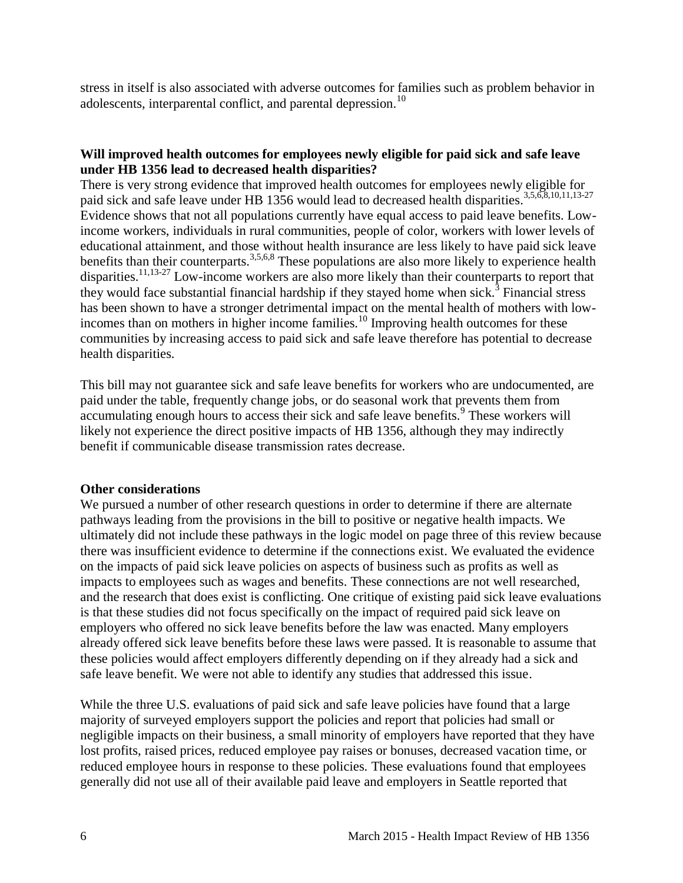stress in itself is also associated with adverse outcomes for families such as problem behavior in adolescents, interparental conflict, and parental depression.<sup>[10](#page-16-0)</sup>

#### **Will improved health outcomes for employees newly eligible for paid sick and safe leave under HB 1356 lead to decreased health disparities?**

There is very strong evidence that improved health outcomes for employees newly eligible for paid sick and safe leave under HB 1[3](#page-10-0)56 would lead to decreased health disparities.<sup>3[,5](#page-12-0)[,6](#page-13-0)[,8](#page-15-0)[,10](#page-16-0)[,11](#page-16-1)[,13-27](#page-17-0)</sup> Evidence shows that not all populations currently have equal access to paid leave benefits. Lowincome workers, individuals in rural communities, people of color, workers with lower levels of educational attainment, and those without health insurance are less likely to have paid sick leave benefits than their counterparts.<sup>[3](#page-10-0)[,5](#page-12-0)[,6](#page-13-0)[,8](#page-15-0)</sup> These populations are also more likely to experience health disparities.<sup>[11,](#page-16-1)[13-27](#page-17-0)</sup> Low-income workers are also more likely than their counterparts to report that they would face substantial financial hardship if they stayed home when sick.<sup>[3](#page-10-0)</sup> Financial stress has been shown to have a stronger detrimental impact on the mental health of mothers with low-incomes than on mothers in higher income families.<sup>[10](#page-16-0)</sup> Improving health outcomes for these communities by increasing access to paid sick and safe leave therefore has potential to decrease health disparities.

This bill may not guarantee sick and safe leave benefits for workers who are undocumented, are paid under the table, frequently change jobs, or do seasonal work that prevents them from accumulating enough hours to access their sick and safe leave benefits.<sup>[9](#page-15-1)</sup> These workers will likely not experience the direct positive impacts of HB 1356, although they may indirectly benefit if communicable disease transmission rates decrease.

#### **Other considerations**

We pursued a number of other research questions in order to determine if there are alternate pathways leading from the provisions in the bill to positive or negative health impacts. We ultimately did not include these pathways in the logic model on page three of this review because there was insufficient evidence to determine if the connections exist. We evaluated the evidence on the impacts of paid sick leave policies on aspects of business such as profits as well as impacts to employees such as wages and benefits. These connections are not well researched, and the research that does exist is conflicting. One critique of existing paid sick leave evaluations is that these studies did not focus specifically on the impact of required paid sick leave on employers who offered no sick leave benefits before the law was enacted. Many employers already offered sick leave benefits before these laws were passed. It is reasonable to assume that these policies would affect employers differently depending on if they already had a sick and safe leave benefit. We were not able to identify any studies that addressed this issue.

While the three U.S. evaluations of paid sick and safe leave policies have found that a large majority of surveyed employers support the policies and report that policies had small or negligible impacts on their business, a small minority of employers have reported that they have lost profits, raised prices, reduced employee pay raises or bonuses, decreased vacation time, or reduced employee hours in response to these policies. These evaluations found that employees generally did not use all of their available paid leave and employers in Seattle reported that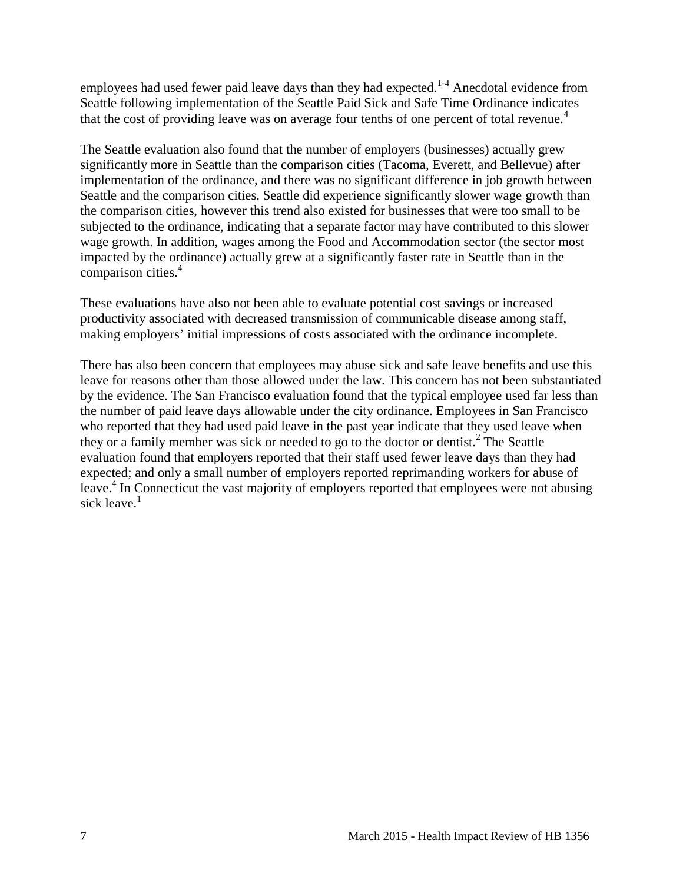employees had used fewer paid leave days than they had expected.<sup>[1-4](#page-9-1)</sup> Anecdotal evidence from Seattle following implementation of the Seattle Paid Sick and Safe Time Ordinance indicates that the cost of providing leave was on average four tenths of one percent of total revenue[.](#page-11-0)<sup>4</sup>

The Seattle evaluation also found that the number of employers (businesses) actually grew significantly more in Seattle than the comparison cities (Tacoma, Everett, and Bellevue) after implementation of the ordinance, and there was no significant difference in job growth between Seattle and the comparison cities. Seattle did experience significantly slower wage growth than the comparison cities, however this trend also existed for businesses that were too small to be subjected to the ordinance, indicating that a separate factor may have contributed to this slower wage growth. In addition, wages among the Food and Accommodation sector (the sector most impacted by the ordinance) actually grew at a significantly faster rate in Seattle than in the comparison cities[.](#page-11-0)<sup>4</sup>

These evaluations have also not been able to evaluate potential cost savings or increased productivity associated with decreased transmission of communicable disease among staff, making employers' initial impressions of costs associated with the ordinance incomplete.

There has also been concern that employees may abuse sick and safe leave benefits and use this leave for reasons other than those allowed under the law. This concern has not been substantiated by the evidence. The San Francisco evaluation found that the typical employee used far less than the number of paid leave days allowable under the city ordinance. Employees in San Francisco who reported that they had used paid leave in the past year indicate that they used leave when they or a family member was sick or needed to go to the doctor or dentist[.](#page-9-2)<sup>2</sup> The Seattle evaluation found that employers reported that their staff used fewer leave days than they had expected; and only a small number of employers reported reprimanding workers for abuse of leave[.](#page-11-0)<sup>4</sup> In Connecticut the vast majority of employers reported that employees were not abusing sick leave[.](#page-9-1) $1$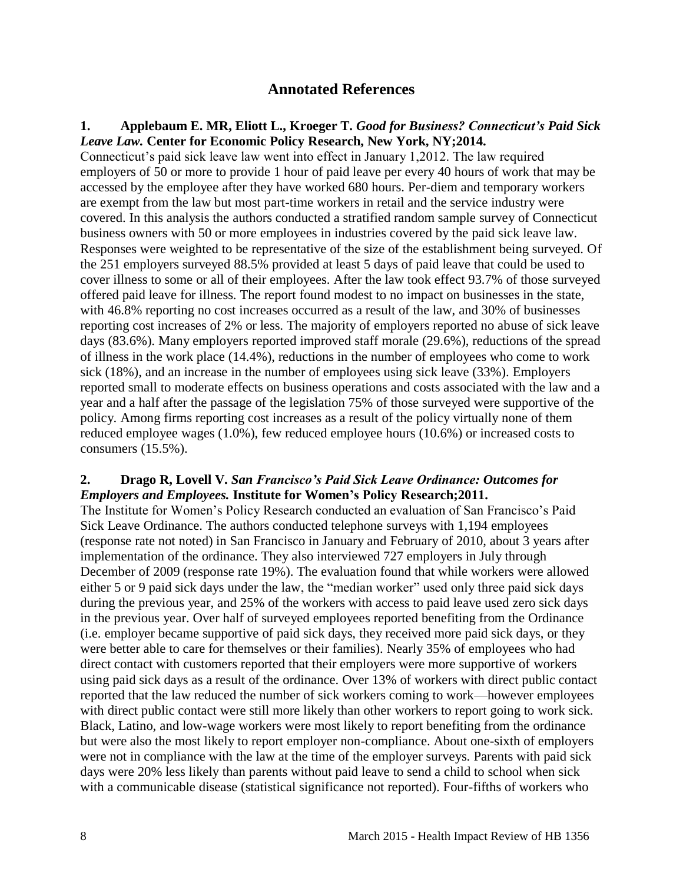# **Annotated References**

#### <span id="page-9-1"></span><span id="page-9-0"></span>**1. Applebaum E. MR, Eliott L., Kroeger T.** *Good for Business? Connecticut's Paid Sick Leave Law.* **Center for Economic Policy Research, New York, NY;2014.**

Connecticut's paid sick leave law went into effect in January 1,2012. The law required employers of 50 or more to provide 1 hour of paid leave per every 40 hours of work that may be accessed by the employee after they have worked 680 hours. Per-diem and temporary workers are exempt from the law but most part-time workers in retail and the service industry were covered. In this analysis the authors conducted a stratified random sample survey of Connecticut business owners with 50 or more employees in industries covered by the paid sick leave law. Responses were weighted to be representative of the size of the establishment being surveyed. Of the 251 employers surveyed 88.5% provided at least 5 days of paid leave that could be used to cover illness to some or all of their employees. After the law took effect 93.7% of those surveyed offered paid leave for illness. The report found modest to no impact on businesses in the state, with 46.8% reporting no cost increases occurred as a result of the law, and 30% of businesses reporting cost increases of 2% or less. The majority of employers reported no abuse of sick leave days (83.6%). Many employers reported improved staff morale (29.6%), reductions of the spread of illness in the work place (14.4%), reductions in the number of employees who come to work sick (18%), and an increase in the number of employees using sick leave (33%). Employers reported small to moderate effects on business operations and costs associated with the law and a year and a half after the passage of the legislation 75% of those surveyed were supportive of the policy. Among firms reporting cost increases as a result of the policy virtually none of them reduced employee wages (1.0%), few reduced employee hours (10.6%) or increased costs to consumers (15.5%).

#### <span id="page-9-2"></span>**2. Drago R, Lovell V.** *San Francisco's Paid Sick Leave Ordinance: Outcomes for Employers and Employees.* **Institute for Women's Policy Research;2011.**

The Institute for Women's Policy Research conducted an evaluation of San Francisco's Paid Sick Leave Ordinance. The authors conducted telephone surveys with 1,194 employees (response rate not noted) in San Francisco in January and February of 2010, about 3 years after implementation of the ordinance. They also interviewed 727 employers in July through December of 2009 (response rate 19%). The evaluation found that while workers were allowed either 5 or 9 paid sick days under the law, the "median worker" used only three paid sick days during the previous year, and 25% of the workers with access to paid leave used zero sick days in the previous year. Over half of surveyed employees reported benefiting from the Ordinance (i.e. employer became supportive of paid sick days, they received more paid sick days, or they were better able to care for themselves or their families). Nearly 35% of employees who had direct contact with customers reported that their employers were more supportive of workers using paid sick days as a result of the ordinance. Over 13% of workers with direct public contact reported that the law reduced the number of sick workers coming to work—however employees with direct public contact were still more likely than other workers to report going to work sick. Black, Latino, and low-wage workers were most likely to report benefiting from the ordinance but were also the most likely to report employer non-compliance. About one-sixth of employers were not in compliance with the law at the time of the employer surveys. Parents with paid sick days were 20% less likely than parents without paid leave to send a child to school when sick with a communicable disease (statistical significance not reported). Four-fifths of workers who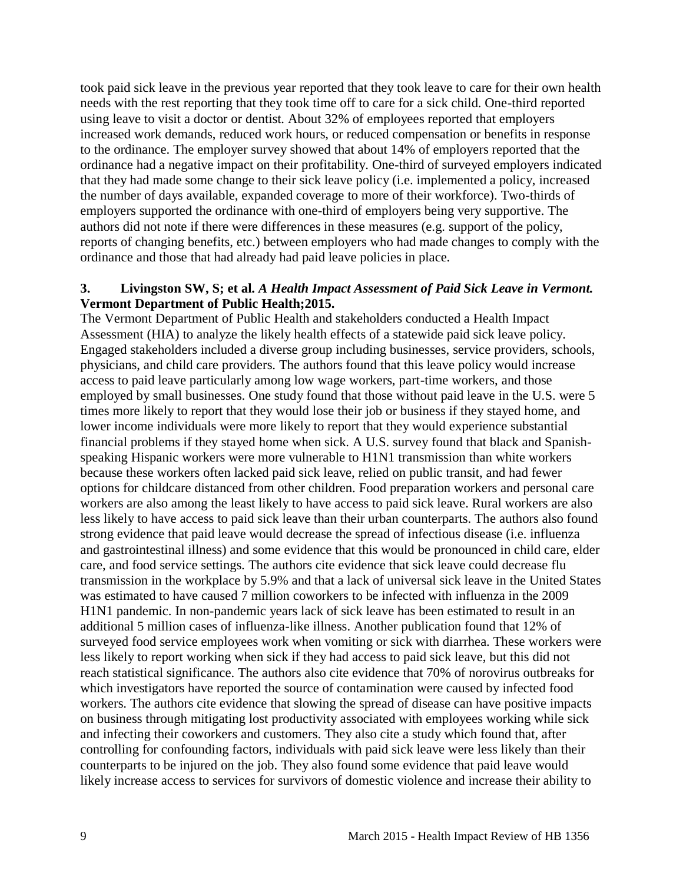took paid sick leave in the previous year reported that they took leave to care for their own health needs with the rest reporting that they took time off to care for a sick child. One-third reported using leave to visit a doctor or dentist. About 32% of employees reported that employers increased work demands, reduced work hours, or reduced compensation or benefits in response to the ordinance. The employer survey showed that about 14% of employers reported that the ordinance had a negative impact on their profitability. One-third of surveyed employers indicated that they had made some change to their sick leave policy (i.e. implemented a policy, increased the number of days available, expanded coverage to more of their workforce). Two-thirds of employers supported the ordinance with one-third of employers being very supportive. The authors did not note if there were differences in these measures (e.g. support of the policy, reports of changing benefits, etc.) between employers who had made changes to comply with the ordinance and those that had already had paid leave policies in place.

#### <span id="page-10-0"></span>**3. Livingston SW, S; et al.** *A Health Impact Assessment of Paid Sick Leave in Vermont.* **Vermont Department of Public Health;2015.**

The Vermont Department of Public Health and stakeholders conducted a Health Impact Assessment (HIA) to analyze the likely health effects of a statewide paid sick leave policy. Engaged stakeholders included a diverse group including businesses, service providers, schools, physicians, and child care providers. The authors found that this leave policy would increase access to paid leave particularly among low wage workers, part-time workers, and those employed by small businesses. One study found that those without paid leave in the U.S. were 5 times more likely to report that they would lose their job or business if they stayed home, and lower income individuals were more likely to report that they would experience substantial financial problems if they stayed home when sick. A U.S. survey found that black and Spanishspeaking Hispanic workers were more vulnerable to H1N1 transmission than white workers because these workers often lacked paid sick leave, relied on public transit, and had fewer options for childcare distanced from other children. Food preparation workers and personal care workers are also among the least likely to have access to paid sick leave. Rural workers are also less likely to have access to paid sick leave than their urban counterparts. The authors also found strong evidence that paid leave would decrease the spread of infectious disease (i.e. influenza and gastrointestinal illness) and some evidence that this would be pronounced in child care, elder care, and food service settings. The authors cite evidence that sick leave could decrease flu transmission in the workplace by 5.9% and that a lack of universal sick leave in the United States was estimated to have caused 7 million coworkers to be infected with influenza in the 2009 H1N1 pandemic. In non-pandemic years lack of sick leave has been estimated to result in an additional 5 million cases of influenza-like illness. Another publication found that 12% of surveyed food service employees work when vomiting or sick with diarrhea. These workers were less likely to report working when sick if they had access to paid sick leave, but this did not reach statistical significance. The authors also cite evidence that 70% of norovirus outbreaks for which investigators have reported the source of contamination were caused by infected food workers. The authors cite evidence that slowing the spread of disease can have positive impacts on business through mitigating lost productivity associated with employees working while sick and infecting their coworkers and customers. They also cite a study which found that, after controlling for confounding factors, individuals with paid sick leave were less likely than their counterparts to be injured on the job. They also found some evidence that paid leave would likely increase access to services for survivors of domestic violence and increase their ability to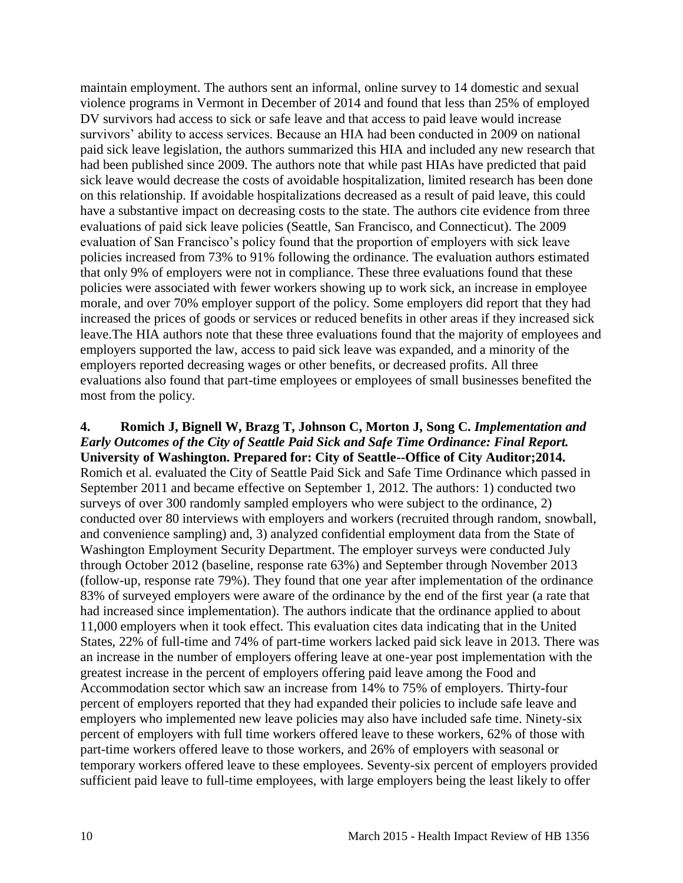maintain employment. The authors sent an informal, online survey to 14 domestic and sexual violence programs in Vermont in December of 2014 and found that less than 25% of employed DV survivors had access to sick or safe leave and that access to paid leave would increase survivors' ability to access services. Because an HIA had been conducted in 2009 on national paid sick leave legislation, the authors summarized this HIA and included any new research that had been published since 2009. The authors note that while past HIAs have predicted that paid sick leave would decrease the costs of avoidable hospitalization, limited research has been done on this relationship. If avoidable hospitalizations decreased as a result of paid leave, this could have a substantive impact on decreasing costs to the state. The authors cite evidence from three evaluations of paid sick leave policies (Seattle, San Francisco, and Connecticut). The 2009 evaluation of San Francisco's policy found that the proportion of employers with sick leave policies increased from 73% to 91% following the ordinance. The evaluation authors estimated that only 9% of employers were not in compliance. These three evaluations found that these policies were associated with fewer workers showing up to work sick, an increase in employee morale, and over 70% employer support of the policy. Some employers did report that they had increased the prices of goods or services or reduced benefits in other areas if they increased sick leave.The HIA authors note that these three evaluations found that the majority of employees and employers supported the law, access to paid sick leave was expanded, and a minority of the employers reported decreasing wages or other benefits, or decreased profits. All three evaluations also found that part-time employees or employees of small businesses benefited the most from the policy.

<span id="page-11-0"></span>**4. Romich J, Bignell W, Brazg T, Johnson C, Morton J, Song C.** *Implementation and Early Outcomes of the City of Seattle Paid Sick and Safe Time Ordinance: Final Report.* **University of Washington. Prepared for: City of Seattle--Office of City Auditor;2014.** Romich et al. evaluated the City of Seattle Paid Sick and Safe Time Ordinance which passed in September 2011 and became effective on September 1, 2012. The authors: 1) conducted two surveys of over 300 randomly sampled employers who were subject to the ordinance, 2) conducted over 80 interviews with employers and workers (recruited through random, snowball, and convenience sampling) and, 3) analyzed confidential employment data from the State of Washington Employment Security Department. The employer surveys were conducted July through October 2012 (baseline, response rate 63%) and September through November 2013 (follow-up, response rate 79%). They found that one year after implementation of the ordinance 83% of surveyed employers were aware of the ordinance by the end of the first year (a rate that had increased since implementation). The authors indicate that the ordinance applied to about 11,000 employers when it took effect. This evaluation cites data indicating that in the United States, 22% of full-time and 74% of part-time workers lacked paid sick leave in 2013. There was an increase in the number of employers offering leave at one-year post implementation with the greatest increase in the percent of employers offering paid leave among the Food and Accommodation sector which saw an increase from 14% to 75% of employers. Thirty-four percent of employers reported that they had expanded their policies to include safe leave and employers who implemented new leave policies may also have included safe time. Ninety-six percent of employers with full time workers offered leave to these workers, 62% of those with part-time workers offered leave to those workers, and 26% of employers with seasonal or temporary workers offered leave to these employees. Seventy-six percent of employers provided sufficient paid leave to full-time employees, with large employers being the least likely to offer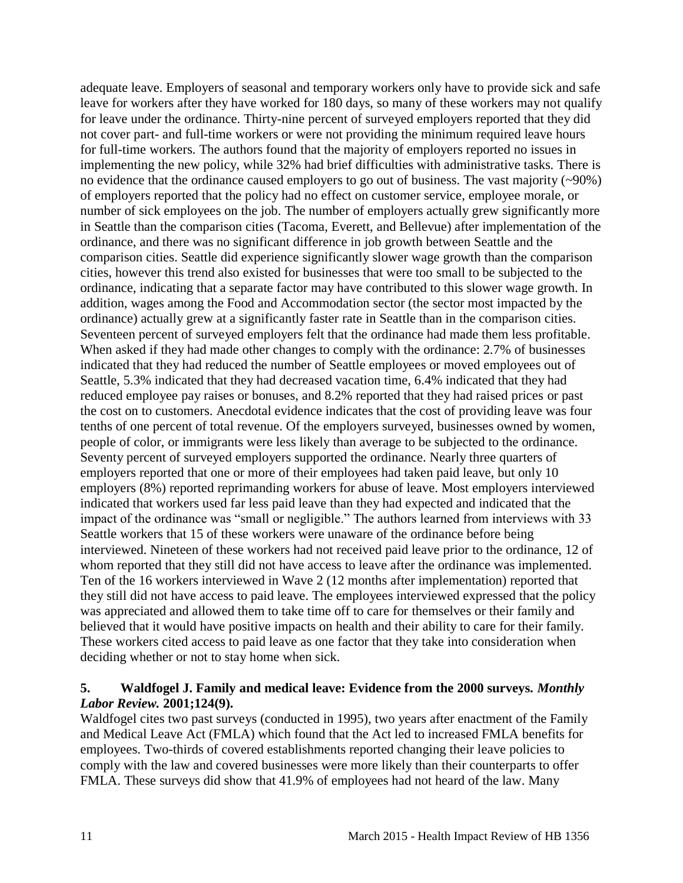adequate leave. Employers of seasonal and temporary workers only have to provide sick and safe leave for workers after they have worked for 180 days, so many of these workers may not qualify for leave under the ordinance. Thirty-nine percent of surveyed employers reported that they did not cover part- and full-time workers or were not providing the minimum required leave hours for full-time workers. The authors found that the majority of employers reported no issues in implementing the new policy, while 32% had brief difficulties with administrative tasks. There is no evidence that the ordinance caused employers to go out of business. The vast majority (~90%) of employers reported that the policy had no effect on customer service, employee morale, or number of sick employees on the job. The number of employers actually grew significantly more in Seattle than the comparison cities (Tacoma, Everett, and Bellevue) after implementation of the ordinance, and there was no significant difference in job growth between Seattle and the comparison cities. Seattle did experience significantly slower wage growth than the comparison cities, however this trend also existed for businesses that were too small to be subjected to the ordinance, indicating that a separate factor may have contributed to this slower wage growth. In addition, wages among the Food and Accommodation sector (the sector most impacted by the ordinance) actually grew at a significantly faster rate in Seattle than in the comparison cities. Seventeen percent of surveyed employers felt that the ordinance had made them less profitable. When asked if they had made other changes to comply with the ordinance: 2.7% of businesses indicated that they had reduced the number of Seattle employees or moved employees out of Seattle, 5.3% indicated that they had decreased vacation time, 6.4% indicated that they had reduced employee pay raises or bonuses, and 8.2% reported that they had raised prices or past the cost on to customers. Anecdotal evidence indicates that the cost of providing leave was four tenths of one percent of total revenue. Of the employers surveyed, businesses owned by women, people of color, or immigrants were less likely than average to be subjected to the ordinance. Seventy percent of surveyed employers supported the ordinance. Nearly three quarters of employers reported that one or more of their employees had taken paid leave, but only 10 employers (8%) reported reprimanding workers for abuse of leave. Most employers interviewed indicated that workers used far less paid leave than they had expected and indicated that the impact of the ordinance was "small or negligible." The authors learned from interviews with 33 Seattle workers that 15 of these workers were unaware of the ordinance before being interviewed. Nineteen of these workers had not received paid leave prior to the ordinance, 12 of whom reported that they still did not have access to leave after the ordinance was implemented. Ten of the 16 workers interviewed in Wave 2 (12 months after implementation) reported that they still did not have access to paid leave. The employees interviewed expressed that the policy was appreciated and allowed them to take time off to care for themselves or their family and believed that it would have positive impacts on health and their ability to care for their family. These workers cited access to paid leave as one factor that they take into consideration when deciding whether or not to stay home when sick.

#### <span id="page-12-0"></span>**5. Waldfogel J. Family and medical leave: Evidence from the 2000 surveys.** *Monthly Labor Review.* **2001;124(9).**

Waldfogel cites two past surveys (conducted in 1995), two years after enactment of the Family and Medical Leave Act (FMLA) which found that the Act led to increased FMLA benefits for employees. Two-thirds of covered establishments reported changing their leave policies to comply with the law and covered businesses were more likely than their counterparts to offer FMLA. These surveys did show that 41.9% of employees had not heard of the law. Many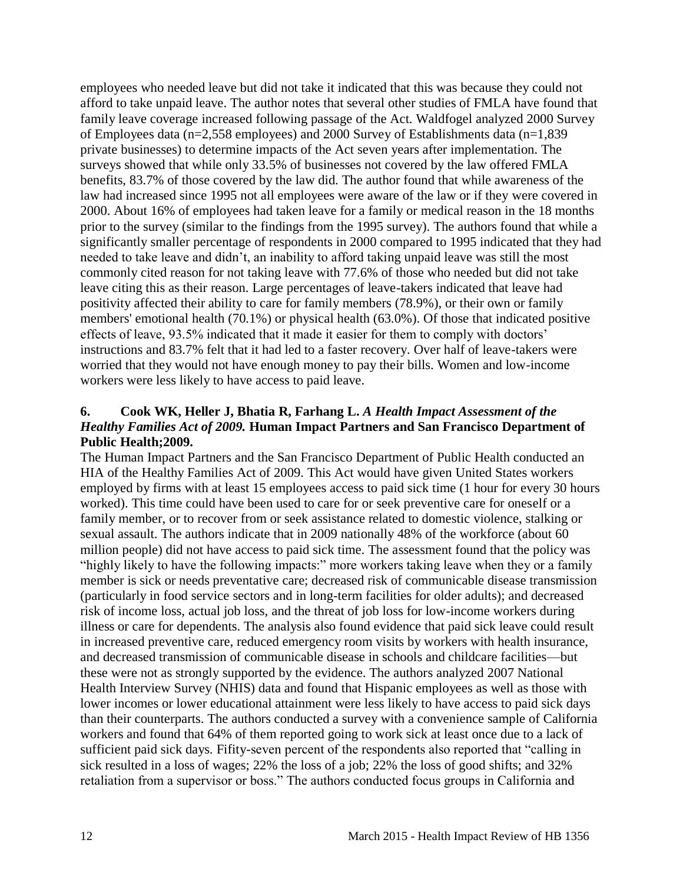employees who needed leave but did not take it indicated that this was because they could not afford to take unpaid leave. The author notes that several other studies of FMLA have found that family leave coverage increased following passage of the Act. Waldfogel analyzed 2000 Survey of Employees data (n=2,558 employees) and 2000 Survey of Establishments data (n=1,839 private businesses) to determine impacts of the Act seven years after implementation. The surveys showed that while only 33.5% of businesses not covered by the law offered FMLA benefits, 83.7% of those covered by the law did. The author found that while awareness of the law had increased since 1995 not all employees were aware of the law or if they were covered in 2000. About 16% of employees had taken leave for a family or medical reason in the 18 months prior to the survey (similar to the findings from the 1995 survey). The authors found that while a significantly smaller percentage of respondents in 2000 compared to 1995 indicated that they had needed to take leave and didn't, an inability to afford taking unpaid leave was still the most commonly cited reason for not taking leave with 77.6% of those who needed but did not take leave citing this as their reason. Large percentages of leave-takers indicated that leave had positivity affected their ability to care for family members (78.9%), or their own or family members' emotional health (70.1%) or physical health (63.0%). Of those that indicated positive effects of leave, 93.5% indicated that it made it easier for them to comply with doctors' instructions and 83.7% felt that it had led to a faster recovery. Over half of leave-takers were worried that they would not have enough money to pay their bills. Women and low-income workers were less likely to have access to paid leave.

#### <span id="page-13-0"></span>**6. Cook WK, Heller J, Bhatia R, Farhang L.** *A Health Impact Assessment of the Healthy Families Act of 2009.* **Human Impact Partners and San Francisco Department of Public Health;2009.**

The Human Impact Partners and the San Francisco Department of Public Health conducted an HIA of the Healthy Families Act of 2009. This Act would have given United States workers employed by firms with at least 15 employees access to paid sick time (1 hour for every 30 hours worked). This time could have been used to care for or seek preventive care for oneself or a family member, or to recover from or seek assistance related to domestic violence, stalking or sexual assault. The authors indicate that in 2009 nationally 48% of the workforce (about 60 million people) did not have access to paid sick time. The assessment found that the policy was "highly likely to have the following impacts:" more workers taking leave when they or a family member is sick or needs preventative care; decreased risk of communicable disease transmission (particularly in food service sectors and in long-term facilities for older adults); and decreased risk of income loss, actual job loss, and the threat of job loss for low-income workers during illness or care for dependents. The analysis also found evidence that paid sick leave could result in increased preventive care, reduced emergency room visits by workers with health insurance, and decreased transmission of communicable disease in schools and childcare facilities—but these were not as strongly supported by the evidence. The authors analyzed 2007 National Health Interview Survey (NHIS) data and found that Hispanic employees as well as those with lower incomes or lower educational attainment were less likely to have access to paid sick days than their counterparts. The authors conducted a survey with a convenience sample of California workers and found that 64% of them reported going to work sick at least once due to a lack of sufficient paid sick days. Fifity-seven percent of the respondents also reported that "calling in sick resulted in a loss of wages; 22% the loss of a job; 22% the loss of good shifts; and 32% retaliation from a supervisor or boss." The authors conducted focus groups in California and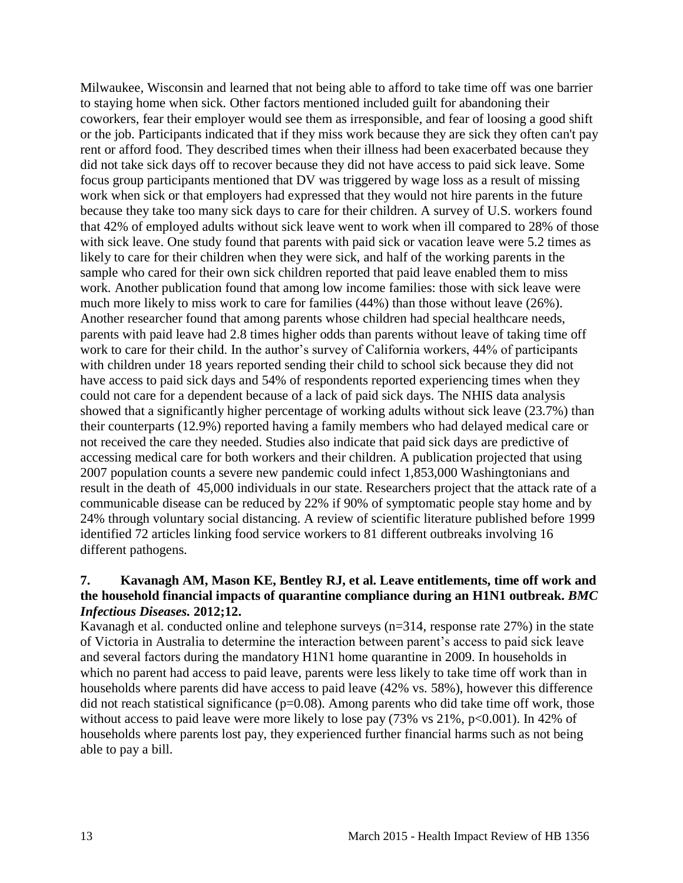Milwaukee, Wisconsin and learned that not being able to afford to take time off was one barrier to staying home when sick. Other factors mentioned included guilt for abandoning their coworkers, fear their employer would see them as irresponsible, and fear of loosing a good shift or the job. Participants indicated that if they miss work because they are sick they often can't pay rent or afford food. They described times when their illness had been exacerbated because they did not take sick days off to recover because they did not have access to paid sick leave. Some focus group participants mentioned that DV was triggered by wage loss as a result of missing work when sick or that employers had expressed that they would not hire parents in the future because they take too many sick days to care for their children. A survey of U.S. workers found that 42% of employed adults without sick leave went to work when ill compared to 28% of those with sick leave. One study found that parents with paid sick or vacation leave were 5.2 times as likely to care for their children when they were sick, and half of the working parents in the sample who cared for their own sick children reported that paid leave enabled them to miss work. Another publication found that among low income families: those with sick leave were much more likely to miss work to care for families (44%) than those without leave (26%). Another researcher found that among parents whose children had special healthcare needs, parents with paid leave had 2.8 times higher odds than parents without leave of taking time off work to care for their child. In the author's survey of California workers, 44% of participants with children under 18 years reported sending their child to school sick because they did not have access to paid sick days and 54% of respondents reported experiencing times when they could not care for a dependent because of a lack of paid sick days. The NHIS data analysis showed that a significantly higher percentage of working adults without sick leave (23.7%) than their counterparts (12.9%) reported having a family members who had delayed medical care or not received the care they needed. Studies also indicate that paid sick days are predictive of accessing medical care for both workers and their children. A publication projected that using 2007 population counts a severe new pandemic could infect 1,853,000 Washingtonians and result in the death of 45,000 individuals in our state. Researchers project that the attack rate of a communicable disease can be reduced by 22% if 90% of symptomatic people stay home and by 24% through voluntary social distancing. A review of scientific literature published before 1999 identified 72 articles linking food service workers to 81 different outbreaks involving 16 different pathogens.

#### <span id="page-14-0"></span>**7. Kavanagh AM, Mason KE, Bentley RJ, et al. Leave entitlements, time off work and the household financial impacts of quarantine compliance during an H1N1 outbreak.** *BMC Infectious Diseases.* **2012;12.**

Kavanagh et al. conducted online and telephone surveys (n=314, response rate 27%) in the state of Victoria in Australia to determine the interaction between parent's access to paid sick leave and several factors during the mandatory H1N1 home quarantine in 2009. In households in which no parent had access to paid leave, parents were less likely to take time off work than in households where parents did have access to paid leave (42% vs. 58%), however this difference did not reach statistical significance  $(p=0.08)$ . Among parents who did take time off work, those without access to paid leave were more likely to lose pay  $(73\% \text{ vs } 21\%, \text{ p} < 0.001)$ . In 42% of households where parents lost pay, they experienced further financial harms such as not being able to pay a bill.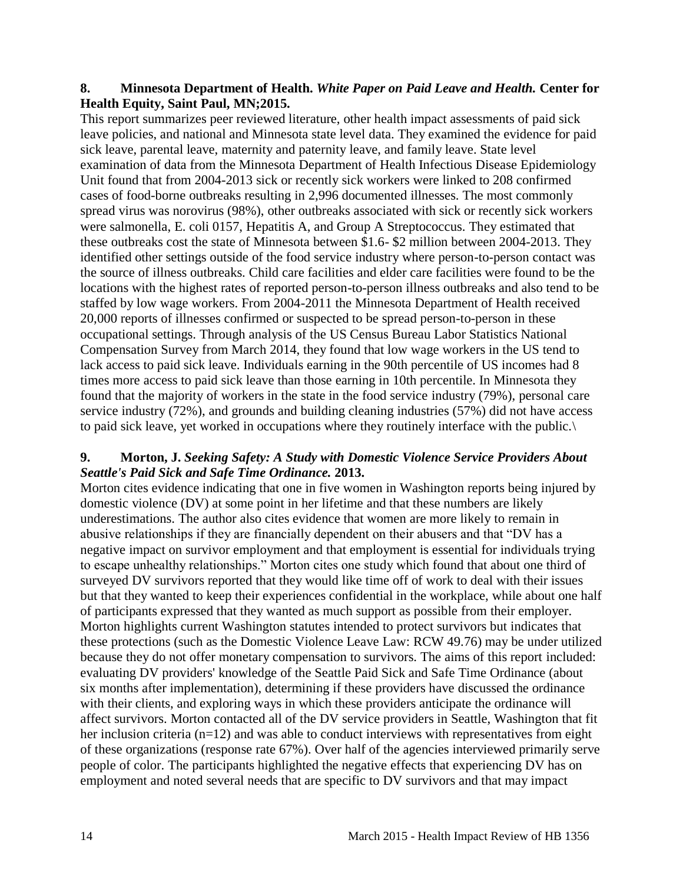#### <span id="page-15-0"></span>**8. Minnesota Department of Health.** *White Paper on Paid Leave and Health.* **Center for Health Equity, Saint Paul, MN;2015.**

This report summarizes peer reviewed literature, other health impact assessments of paid sick leave policies, and national and Minnesota state level data. They examined the evidence for paid sick leave, parental leave, maternity and paternity leave, and family leave. State level examination of data from the Minnesota Department of Health Infectious Disease Epidemiology Unit found that from 2004-2013 sick or recently sick workers were linked to 208 confirmed cases of food-borne outbreaks resulting in 2,996 documented illnesses. The most commonly spread virus was norovirus (98%), other outbreaks associated with sick or recently sick workers were salmonella, E. coli 0157, Hepatitis A, and Group A Streptococcus. They estimated that these outbreaks cost the state of Minnesota between \$1.6- \$2 million between 2004-2013. They identified other settings outside of the food service industry where person-to-person contact was the source of illness outbreaks. Child care facilities and elder care facilities were found to be the locations with the highest rates of reported person-to-person illness outbreaks and also tend to be staffed by low wage workers. From 2004-2011 the Minnesota Department of Health received 20,000 reports of illnesses confirmed or suspected to be spread person-to-person in these occupational settings. Through analysis of the US Census Bureau Labor Statistics National Compensation Survey from March 2014, they found that low wage workers in the US tend to lack access to paid sick leave. Individuals earning in the 90th percentile of US incomes had 8 times more access to paid sick leave than those earning in 10th percentile. In Minnesota they found that the majority of workers in the state in the food service industry (79%), personal care service industry (72%), and grounds and building cleaning industries (57%) did not have access to paid sick leave, yet worked in occupations where they routinely interface with the public.\

#### <span id="page-15-1"></span>**9. Morton, J.** *Seeking Safety: A Study with Domestic Violence Service Providers About Seattle's Paid Sick and Safe Time Ordinance.* **2013.**

Morton cites evidence indicating that one in five women in Washington reports being injured by domestic violence (DV) at some point in her lifetime and that these numbers are likely underestimations. The author also cites evidence that women are more likely to remain in abusive relationships if they are financially dependent on their abusers and that "DV has a negative impact on survivor employment and that employment is essential for individuals trying to escape unhealthy relationships." Morton cites one study which found that about one third of surveyed DV survivors reported that they would like time off of work to deal with their issues but that they wanted to keep their experiences confidential in the workplace, while about one half of participants expressed that they wanted as much support as possible from their employer. Morton highlights current Washington statutes intended to protect survivors but indicates that these protections (such as the Domestic Violence Leave Law: RCW 49.76) may be under utilized because they do not offer monetary compensation to survivors. The aims of this report included: evaluating DV providers' knowledge of the Seattle Paid Sick and Safe Time Ordinance (about six months after implementation), determining if these providers have discussed the ordinance with their clients, and exploring ways in which these providers anticipate the ordinance will affect survivors. Morton contacted all of the DV service providers in Seattle, Washington that fit her inclusion criteria (n=12) and was able to conduct interviews with representatives from eight of these organizations (response rate 67%). Over half of the agencies interviewed primarily serve people of color. The participants highlighted the negative effects that experiencing DV has on employment and noted several needs that are specific to DV survivors and that may impact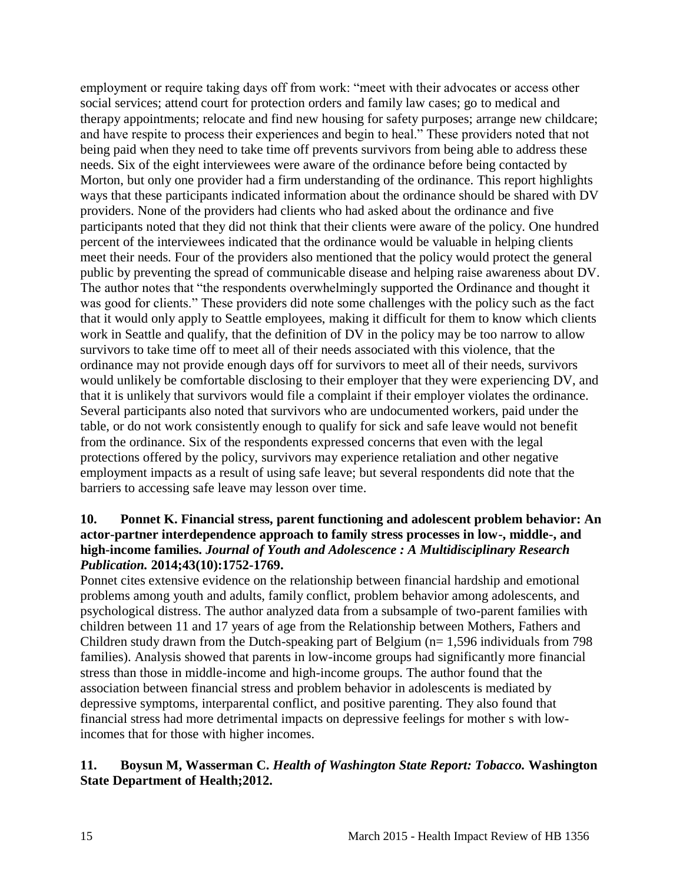employment or require taking days off from work: "meet with their advocates or access other social services; attend court for protection orders and family law cases; go to medical and therapy appointments; relocate and find new housing for safety purposes; arrange new childcare; and have respite to process their experiences and begin to heal." These providers noted that not being paid when they need to take time off prevents survivors from being able to address these needs. Six of the eight interviewees were aware of the ordinance before being contacted by Morton, but only one provider had a firm understanding of the ordinance. This report highlights ways that these participants indicated information about the ordinance should be shared with DV providers. None of the providers had clients who had asked about the ordinance and five participants noted that they did not think that their clients were aware of the policy. One hundred percent of the interviewees indicated that the ordinance would be valuable in helping clients meet their needs. Four of the providers also mentioned that the policy would protect the general public by preventing the spread of communicable disease and helping raise awareness about DV. The author notes that "the respondents overwhelmingly supported the Ordinance and thought it was good for clients." These providers did note some challenges with the policy such as the fact that it would only apply to Seattle employees, making it difficult for them to know which clients work in Seattle and qualify, that the definition of DV in the policy may be too narrow to allow survivors to take time off to meet all of their needs associated with this violence, that the ordinance may not provide enough days off for survivors to meet all of their needs, survivors would unlikely be comfortable disclosing to their employer that they were experiencing DV, and that it is unlikely that survivors would file a complaint if their employer violates the ordinance. Several participants also noted that survivors who are undocumented workers, paid under the table, or do not work consistently enough to qualify for sick and safe leave would not benefit from the ordinance. Six of the respondents expressed concerns that even with the legal protections offered by the policy, survivors may experience retaliation and other negative employment impacts as a result of using safe leave; but several respondents did note that the barriers to accessing safe leave may lesson over time.

#### <span id="page-16-0"></span>**10. Ponnet K. Financial stress, parent functioning and adolescent problem behavior: An actor-partner interdependence approach to family stress processes in low-, middle-, and high-income families.** *Journal of Youth and Adolescence : A Multidisciplinary Research Publication.* **2014;43(10):1752-1769.**

Ponnet cites extensive evidence on the relationship between financial hardship and emotional problems among youth and adults, family conflict, problem behavior among adolescents, and psychological distress. The author analyzed data from a subsample of two-parent families with children between 11 and 17 years of age from the Relationship between Mothers, Fathers and Children study drawn from the Dutch-speaking part of Belgium (n= 1,596 individuals from 798 families). Analysis showed that parents in low-income groups had significantly more financial stress than those in middle-income and high-income groups. The author found that the association between financial stress and problem behavior in adolescents is mediated by depressive symptoms, interparental conflict, and positive parenting. They also found that financial stress had more detrimental impacts on depressive feelings for mother s with lowincomes that for those with higher incomes.

# <span id="page-16-1"></span>**11. Boysun M, Wasserman C.** *Health of Washington State Report: Tobacco.* **Washington State Department of Health;2012.**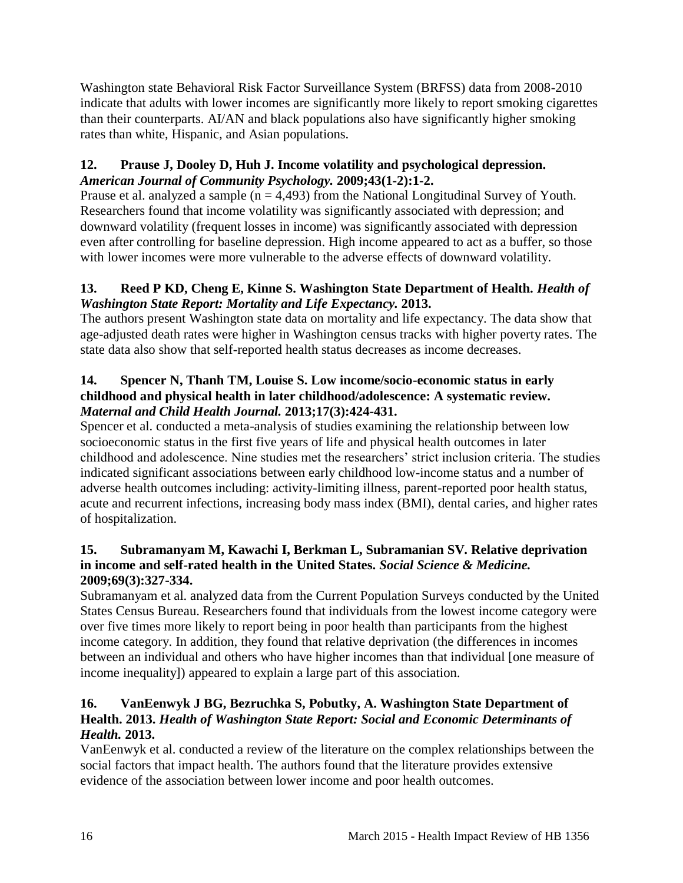Washington state Behavioral Risk Factor Surveillance System (BRFSS) data from 2008-2010 indicate that adults with lower incomes are significantly more likely to report smoking cigarettes than their counterparts. AI/AN and black populations also have significantly higher smoking rates than white, Hispanic, and Asian populations.

#### **12. Prause J, Dooley D, Huh J. Income volatility and psychological depression.**  *American Journal of Community Psychology.* **2009;43(1-2):1-2.**

Prause et al. analyzed a sample ( $n = 4,493$ ) from the National Longitudinal Survey of Youth. Researchers found that income volatility was significantly associated with depression; and downward volatility (frequent losses in income) was significantly associated with depression even after controlling for baseline depression. High income appeared to act as a buffer, so those with lower incomes were more vulnerable to the adverse effects of downward volatility.

# <span id="page-17-0"></span>**13. Reed P KD, Cheng E, Kinne S. Washington State Department of Health.** *Health of Washington State Report: Mortality and Life Expectancy.* **2013.**

The authors present Washington state data on mortality and life expectancy. The data show that age-adjusted death rates were higher in Washington census tracks with higher poverty rates. The state data also show that self-reported health status decreases as income decreases.

# **14. Spencer N, Thanh TM, Louise S. Low income/socio-economic status in early childhood and physical health in later childhood/adolescence: A systematic review.**  *Maternal and Child Health Journal.* **2013;17(3):424-431.**

Spencer et al. conducted a meta-analysis of studies examining the relationship between low socioeconomic status in the first five years of life and physical health outcomes in later childhood and adolescence. Nine studies met the researchers' strict inclusion criteria. The studies indicated significant associations between early childhood low-income status and a number of adverse health outcomes including: activity-limiting illness, parent-reported poor health status, acute and recurrent infections, increasing body mass index (BMI), dental caries, and higher rates of hospitalization.

# **15. Subramanyam M, Kawachi I, Berkman L, Subramanian SV. Relative deprivation in income and self-rated health in the United States.** *Social Science & Medicine.*  **2009;69(3):327-334.**

Subramanyam et al. analyzed data from the Current Population Surveys conducted by the United States Census Bureau. Researchers found that individuals from the lowest income category were over five times more likely to report being in poor health than participants from the highest income category. In addition, they found that relative deprivation (the differences in incomes between an individual and others who have higher incomes than that individual [one measure of income inequality]) appeared to explain a large part of this association.

# **16. VanEenwyk J BG, Bezruchka S, Pobutky, A. Washington State Department of Health. 2013.** *Health of Washington State Report: Social and Economic Determinants of Health.* **2013.**

VanEenwyk et al. conducted a review of the literature on the complex relationships between the social factors that impact health. The authors found that the literature provides extensive evidence of the association between lower income and poor health outcomes.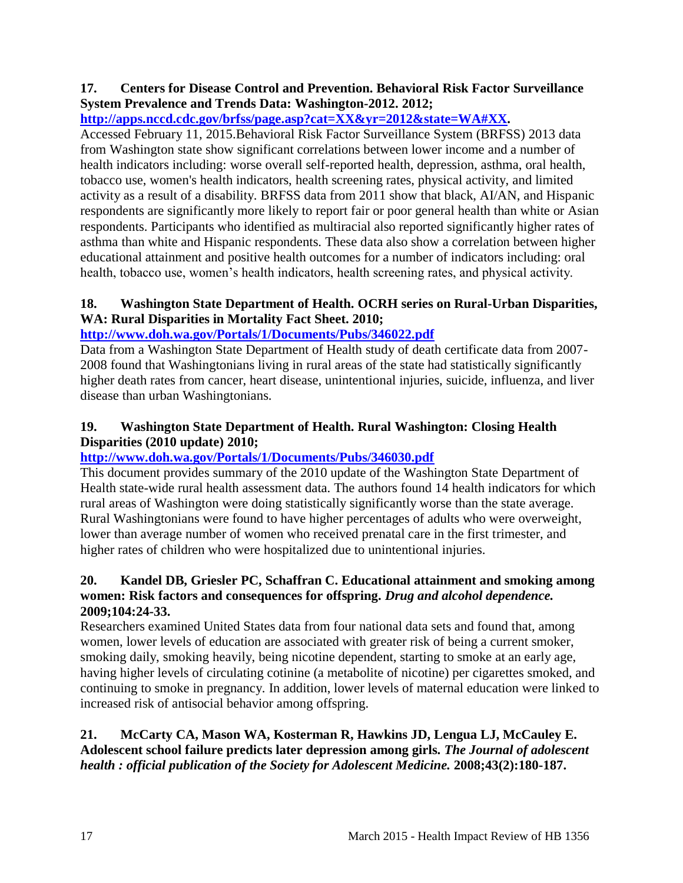# <span id="page-18-0"></span>**17. Centers for Disease Control and Prevention. Behavioral Risk Factor Surveillance System Prevalence and Trends Data: Washington-2012. 2012;**

# **[http://apps.nccd.cdc.gov/brfss/page.asp?cat=XX&yr=2012&state=WA#XX.](http://apps.nccd.cdc.gov/brfss/page.asp?cat=XX&yr=2012&state=WA#XX)**

Accessed February 11, 2015.Behavioral Risk Factor Surveillance System (BRFSS) 2013 data from Washington state show significant correlations between lower income and a number of health indicators including: worse overall self-reported health, depression, asthma, oral health, tobacco use, women's health indicators, health screening rates, physical activity, and limited activity as a result of a disability. BRFSS data from 2011 show that black, AI/AN, and Hispanic respondents are significantly more likely to report fair or poor general health than white or Asian respondents. Participants who identified as multiracial also reported significantly higher rates of asthma than white and Hispanic respondents. These data also show a correlation between higher educational attainment and positive health outcomes for a number of indicators including: oral health, tobacco use, women's health indicators, health screening rates, and physical activity.

# **18. Washington State Department of Health. OCRH series on Rural-Urban Disparities, WA: Rural Disparities in Mortality Fact Sheet. 2010;**

# **<http://www.doh.wa.gov/Portals/1/Documents/Pubs/346022.pdf>**

Data from a Washington State Department of Health study of death certificate data from 2007- 2008 found that Washingtonians living in rural areas of the state had statistically significantly higher death rates from cancer, heart disease, unintentional injuries, suicide, influenza, and liver disease than urban Washingtonians.

## **19. Washington State Department of Health. Rural Washington: Closing Health Disparities (2010 update) 2010;**

# **<http://www.doh.wa.gov/Portals/1/Documents/Pubs/346030.pdf>**

This document provides summary of the 2010 update of the Washington State Department of Health state-wide rural health assessment data. The authors found 14 health indicators for which rural areas of Washington were doing statistically significantly worse than the state average. Rural Washingtonians were found to have higher percentages of adults who were overweight, lower than average number of women who received prenatal care in the first trimester, and higher rates of children who were hospitalized due to unintentional injuries.

#### **20. Kandel DB, Griesler PC, Schaffran C. Educational attainment and smoking among women: Risk factors and consequences for offspring.** *Drug and alcohol dependence.*  **2009;104:24-33.**

Researchers examined United States data from four national data sets and found that, among women, lower levels of education are associated with greater risk of being a current smoker, smoking daily, smoking heavily, being nicotine dependent, starting to smoke at an early age, having higher levels of circulating cotinine (a metabolite of nicotine) per cigarettes smoked, and continuing to smoke in pregnancy. In addition, lower levels of maternal education were linked to increased risk of antisocial behavior among offspring.

# **21. McCarty CA, Mason WA, Kosterman R, Hawkins JD, Lengua LJ, McCauley E. Adolescent school failure predicts later depression among girls.** *The Journal of adolescent health : official publication of the Society for Adolescent Medicine.* **2008;43(2):180-187.**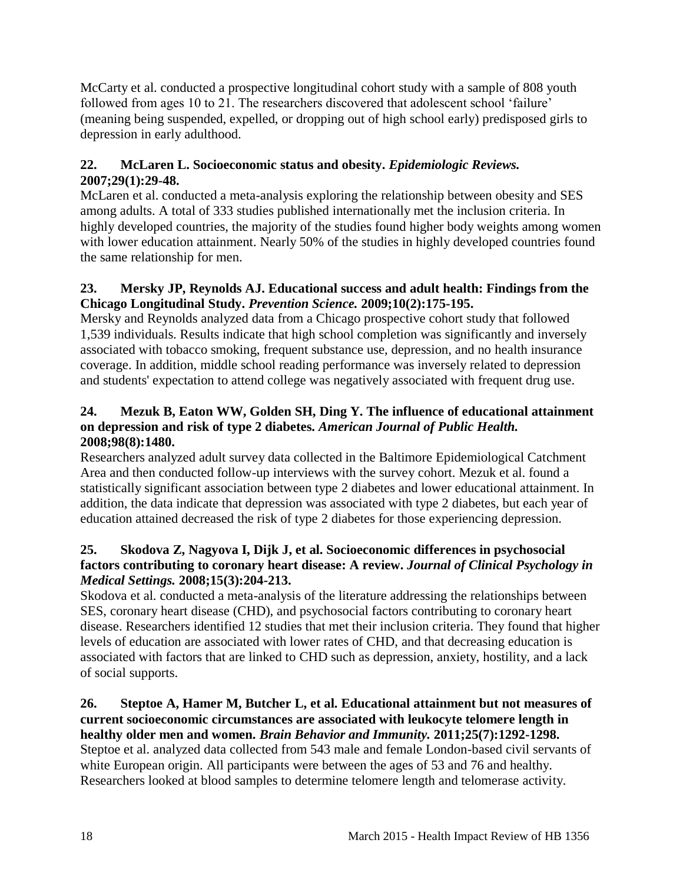McCarty et al. conducted a prospective longitudinal cohort study with a sample of 808 youth followed from ages 10 to 21. The researchers discovered that adolescent school 'failure' (meaning being suspended, expelled, or dropping out of high school early) predisposed girls to depression in early adulthood.

# **22. McLaren L. Socioeconomic status and obesity.** *Epidemiologic Reviews.*  **2007;29(1):29-48.**

McLaren et al. conducted a meta-analysis exploring the relationship between obesity and SES among adults. A total of 333 studies published internationally met the inclusion criteria. In highly developed countries, the majority of the studies found higher body weights among women with lower education attainment. Nearly 50% of the studies in highly developed countries found the same relationship for men.

# **23. Mersky JP, Reynolds AJ. Educational success and adult health: Findings from the Chicago Longitudinal Study.** *Prevention Science.* **2009;10(2):175-195.**

Mersky and Reynolds analyzed data from a Chicago prospective cohort study that followed 1,539 individuals. Results indicate that high school completion was significantly and inversely associated with tobacco smoking, frequent substance use, depression, and no health insurance coverage. In addition, middle school reading performance was inversely related to depression and students' expectation to attend college was negatively associated with frequent drug use.

# **24. Mezuk B, Eaton WW, Golden SH, Ding Y. The influence of educational attainment on depression and risk of type 2 diabetes.** *American Journal of Public Health.*  **2008;98(8):1480.**

Researchers analyzed adult survey data collected in the Baltimore Epidemiological Catchment Area and then conducted follow-up interviews with the survey cohort. Mezuk et al. found a statistically significant association between type 2 diabetes and lower educational attainment. In addition, the data indicate that depression was associated with type 2 diabetes, but each year of education attained decreased the risk of type 2 diabetes for those experiencing depression.

# **25. Skodova Z, Nagyova I, Dijk J, et al. Socioeconomic differences in psychosocial factors contributing to coronary heart disease: A review.** *Journal of Clinical Psychology in Medical Settings.* **2008;15(3):204-213.**

Skodova et al. conducted a meta-analysis of the literature addressing the relationships between SES, coronary heart disease (CHD), and psychosocial factors contributing to coronary heart disease. Researchers identified 12 studies that met their inclusion criteria. They found that higher levels of education are associated with lower rates of CHD, and that decreasing education is associated with factors that are linked to CHD such as depression, anxiety, hostility, and a lack of social supports.

**26. Steptoe A, Hamer M, Butcher L, et al. Educational attainment but not measures of current socioeconomic circumstances are associated with leukocyte telomere length in healthy older men and women.** *Brain Behavior and Immunity.* **2011;25(7):1292-1298.** Steptoe et al. analyzed data collected from 543 male and female London-based civil servants of white European origin. All participants were between the ages of 53 and 76 and healthy. Researchers looked at blood samples to determine telomere length and telomerase activity.